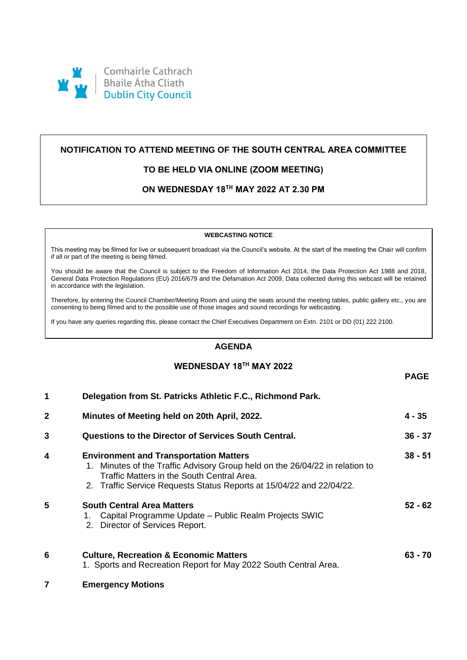

# **NOTIFICATION TO ATTEND MEETING OF THE SOUTH CENTRAL AREA COMMITTEE**

# **TO BE HELD VIA ONLINE (ZOOM MEETING)**

# **ON WEDNESDAY 18TH MAY 2022 AT 2.30 PM**

#### **WEBCASTING NOTICE**

This meeting may be filmed for live or subsequent broadcast via the Council's website. At the start of the meeting the Chair will confirm if all or part of the meeting is being filmed.

You should be aware that the Council is subject to the Freedom of Information Act 2014, the Data Protection Act 1988 and 2018, General Data Protection Regulations (EU) 2016/679 and the Defamation Act 2009. Data collected during this webcast will be retained in accordance with the legislation.

Therefore, by entering the Council Chamber/Meeting Room and using the seats around the meeting tables, public gallery etc., you are consenting to being filmed and to the possible use of those images and sound recordings for webcasting.

If you have any queries regarding this, please contact the Chief Executives Department on Extn. 2101 or DD (01) 222 2100.

## **AGENDA**

## **WEDNESDAY 18TH MAY 2022**

**PAGE**

|   |                                                                                                                                                                                                                                                     | ם את ו    |
|---|-----------------------------------------------------------------------------------------------------------------------------------------------------------------------------------------------------------------------------------------------------|-----------|
| 1 | Delegation from St. Patricks Athletic F.C., Richmond Park.                                                                                                                                                                                          |           |
| 2 | Minutes of Meeting held on 20th April, 2022.                                                                                                                                                                                                        | 4 - 35    |
| 3 | Questions to the Director of Services South Central.                                                                                                                                                                                                | $36 - 37$ |
| 4 | <b>Environment and Transportation Matters</b><br>1. Minutes of the Traffic Advisory Group held on the 26/04/22 in relation to<br>Traffic Matters in the South Central Area.<br>2. Traffic Service Requests Status Reports at 15/04/22 and 22/04/22. | $38 - 51$ |
| 5 | <b>South Central Area Matters</b><br>1. Capital Programme Update – Public Realm Projects SWIC<br>2. Director of Services Report.                                                                                                                    | $52 - 62$ |
| 6 | <b>Culture, Recreation &amp; Economic Matters</b><br>1. Sports and Recreation Report for May 2022 South Central Area.                                                                                                                               | $63 - 70$ |
|   | <b>Emergency Motions</b>                                                                                                                                                                                                                            |           |